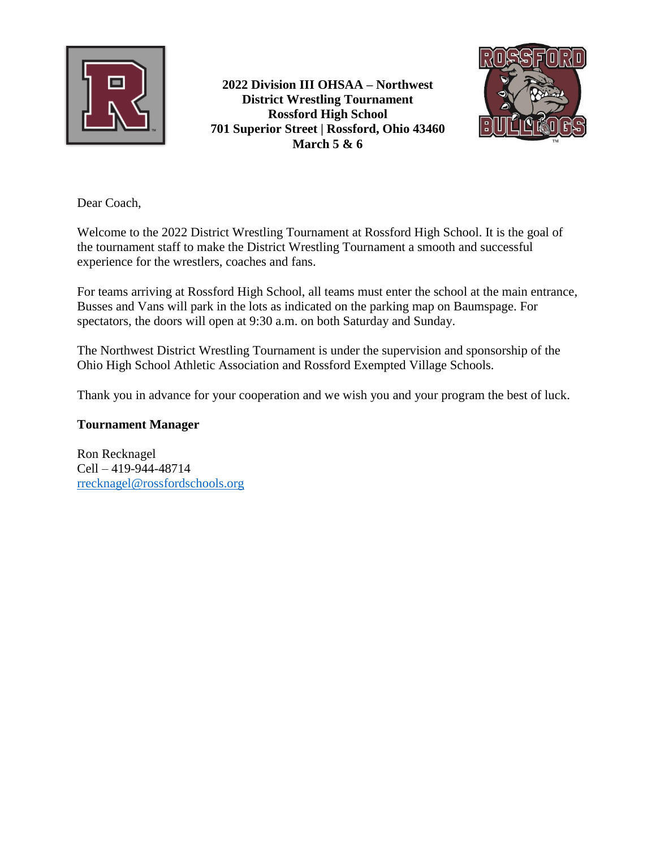

**2022 Division III OHSAA – Northwest District Wrestling Tournament Rossford High School 701 Superior Street | Rossford, Ohio 43460 March 5 & 6**



Dear Coach,

Welcome to the 2022 District Wrestling Tournament at Rossford High School. It is the goal of the tournament staff to make the District Wrestling Tournament a smooth and successful experience for the wrestlers, coaches and fans.

For teams arriving at Rossford High School, all teams must enter the school at the main entrance, Busses and Vans will park in the lots as indicated on the parking map on Baumspage. For spectators, the doors will open at 9:30 a.m. on both Saturday and Sunday.

The Northwest District Wrestling Tournament is under the supervision and sponsorship of the Ohio High School Athletic Association and Rossford Exempted Village Schools.

Thank you in advance for your cooperation and we wish you and your program the best of luck.

#### **Tournament Manager**

Ron Recknagel Cell – 419-944-48714 [rrecknagel@rossfordschools.org](mailto:rrecknagel@rossfordschools.org)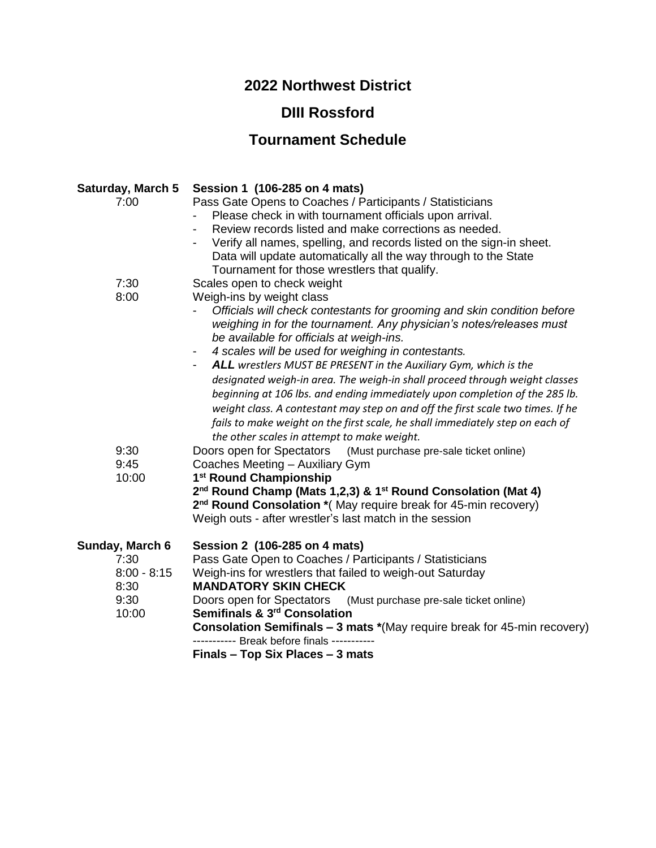# **2022 Northwest District**

# **DIII Rossford**

# **Tournament Schedule**

| Saturday, March 5 | Session 1 (106-285 on 4 mats)                                                        |
|-------------------|--------------------------------------------------------------------------------------|
| 7:00              | Pass Gate Opens to Coaches / Participants / Statisticians                            |
|                   | Please check in with tournament officials upon arrival.                              |
|                   | Review records listed and make corrections as needed.                                |
|                   | Verify all names, spelling, and records listed on the sign-in sheet.                 |
|                   | Data will update automatically all the way through to the State                      |
|                   | Tournament for those wrestlers that qualify.                                         |
| 7:30              | Scales open to check weight                                                          |
| 8:00              | Weigh-ins by weight class                                                            |
|                   | Officials will check contestants for grooming and skin condition before              |
|                   | weighing in for the tournament. Any physician's notes/releases must                  |
|                   | be available for officials at weigh-ins.                                             |
|                   | 4 scales will be used for weighing in contestants.<br>-                              |
|                   | ALL wrestlers MUST BE PRESENT in the Auxiliary Gym, which is the                     |
|                   | designated weigh-in area. The weigh-in shall proceed through weight classes          |
|                   | beginning at 106 lbs. and ending immediately upon completion of the 285 lb.          |
|                   | weight class. A contestant may step on and off the first scale two times. If he      |
|                   | fails to make weight on the first scale, he shall immediately step on each of        |
|                   | the other scales in attempt to make weight.                                          |
| 9:30              | Doors open for Spectators (Must purchase pre-sale ticket online)                     |
| 9:45              | Coaches Meeting - Auxiliary Gym                                                      |
| 10:00             | 1 <sup>st</sup> Round Championship                                                   |
|                   | 2 <sup>nd</sup> Round Champ (Mats 1,2,3) & 1 <sup>st</sup> Round Consolation (Mat 4) |
|                   | 2 <sup>nd</sup> Round Consolation * (May require break for 45-min recovery)          |
|                   | Weigh outs - after wrestler's last match in the session                              |
|                   |                                                                                      |
| Sunday, March 6   | Session 2 (106-285 on 4 mats)                                                        |
| 7:30              | Pass Gate Open to Coaches / Participants / Statisticians                             |
| $8:00 - 8:15$     | Weigh-ins for wrestlers that failed to weigh-out Saturday                            |
| 8:30              | <b>MANDATORY SKIN CHECK</b>                                                          |
| 9:30              | Doors open for Spectators<br>(Must purchase pre-sale ticket online)                  |
| 10:00             | Semifinals & 3 <sup>rd</sup> Consolation                                             |
|                   | <b>Consolation Semifinals - 3 mats *(May require break for 45-min recovery)</b>      |
|                   | ---------- Break before finals -----------                                           |
|                   | Finals - Top Six Places - 3 mats                                                     |
|                   |                                                                                      |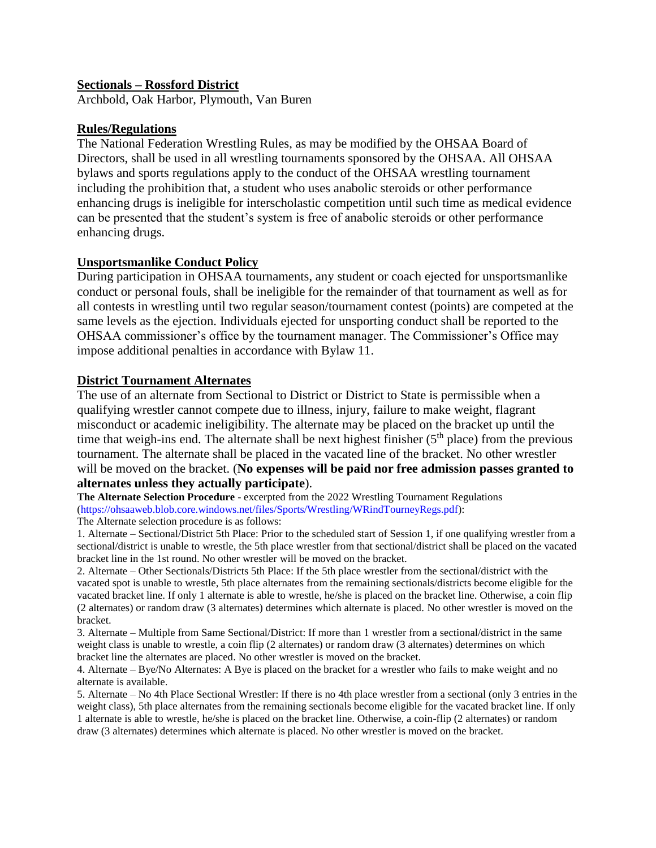#### **Sectionals – Rossford District**

Archbold, Oak Harbor, Plymouth, Van Buren

#### **Rules/Regulations**

The National Federation Wrestling Rules, as may be modified by the OHSAA Board of Directors, shall be used in all wrestling tournaments sponsored by the OHSAA. All OHSAA bylaws and sports regulations apply to the conduct of the OHSAA wrestling tournament including the prohibition that, a student who uses anabolic steroids or other performance enhancing drugs is ineligible for interscholastic competition until such time as medical evidence can be presented that the student's system is free of anabolic steroids or other performance enhancing drugs.

#### **Unsportsmanlike Conduct Policy**

During participation in OHSAA tournaments, any student or coach ejected for unsportsmanlike conduct or personal fouls, shall be ineligible for the remainder of that tournament as well as for all contests in wrestling until two regular season/tournament contest (points) are competed at the same levels as the ejection. Individuals ejected for unsporting conduct shall be reported to the OHSAA commissioner's office by the tournament manager. The Commissioner's Office may impose additional penalties in accordance with Bylaw 11.

#### **District Tournament Alternates**

The use of an alternate from Sectional to District or District to State is permissible when a qualifying wrestler cannot compete due to illness, injury, failure to make weight, flagrant misconduct or academic ineligibility. The alternate may be placed on the bracket up until the time that weigh-ins end. The alternate shall be next highest finisher  $(5<sup>th</sup>$  place) from the previous tournament. The alternate shall be placed in the vacated line of the bracket. No other wrestler will be moved on the bracket. (**No expenses will be paid nor free admission passes granted to alternates unless they actually participate**).

**The Alternate Selection Procedure** - excerpted from the 2022 Wrestling Tournament Regulations (https://ohsaaweb.blob.core.windows.net/files/Sports/Wrestling/WRindTourneyRegs.pdf): The Alternate selection procedure is as follows:

1. Alternate – Sectional/District 5th Place: Prior to the scheduled start of Session 1, if one qualifying wrestler from a sectional/district is unable to wrestle, the 5th place wrestler from that sectional/district shall be placed on the vacated bracket line in the 1st round. No other wrestler will be moved on the bracket.

2. Alternate – Other Sectionals/Districts 5th Place: If the 5th place wrestler from the sectional/district with the vacated spot is unable to wrestle, 5th place alternates from the remaining sectionals/districts become eligible for the vacated bracket line. If only 1 alternate is able to wrestle, he/she is placed on the bracket line. Otherwise, a coin flip (2 alternates) or random draw (3 alternates) determines which alternate is placed. No other wrestler is moved on the bracket.

3. Alternate – Multiple from Same Sectional/District: If more than 1 wrestler from a sectional/district in the same weight class is unable to wrestle, a coin flip (2 alternates) or random draw (3 alternates) determines on which bracket line the alternates are placed. No other wrestler is moved on the bracket.

4. Alternate – Bye/No Alternates: A Bye is placed on the bracket for a wrestler who fails to make weight and no alternate is available.

5. Alternate – No 4th Place Sectional Wrestler: If there is no 4th place wrestler from a sectional (only 3 entries in the weight class), 5th place alternates from the remaining sectionals become eligible for the vacated bracket line. If only 1 alternate is able to wrestle, he/she is placed on the bracket line. Otherwise, a coin-flip (2 alternates) or random draw (3 alternates) determines which alternate is placed. No other wrestler is moved on the bracket.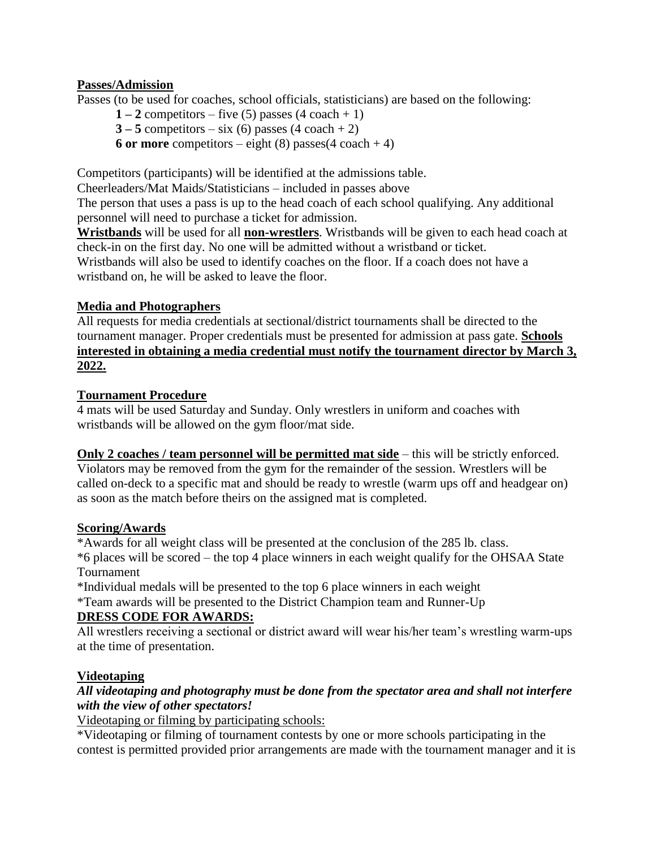### **Passes/Admission**

Passes (to be used for coaches, school officials, statisticians) are based on the following:

- $1 2$  competitors five (5) passes  $(4 \text{ coach} + 1)$
- $3 5$  competitors six (6) passes  $(4 \text{ coach} + 2)$
- **6 or more** competitors eight (8) passes  $(4 \text{ coach} + 4)$

Competitors (participants) will be identified at the admissions table. Cheerleaders/Mat Maids/Statisticians – included in passes above

The person that uses a pass is up to the head coach of each school qualifying. Any additional personnel will need to purchase a ticket for admission.

**Wristbands** will be used for all **non-wrestlers**. Wristbands will be given to each head coach at check-in on the first day. No one will be admitted without a wristband or ticket. Wristbands will also be used to identify coaches on the floor. If a coach does not have a wristband on, he will be asked to leave the floor.

#### **Media and Photographers**

All requests for media credentials at sectional/district tournaments shall be directed to the tournament manager. Proper credentials must be presented for admission at pass gate. **Schools interested in obtaining a media credential must notify the tournament director by March 3, 2022.**

#### **Tournament Procedure**

4 mats will be used Saturday and Sunday. Only wrestlers in uniform and coaches with wristbands will be allowed on the gym floor/mat side.

**Only 2 coaches / team personnel will be permitted mat side** – this will be strictly enforced. Violators may be removed from the gym for the remainder of the session. Wrestlers will be called on-deck to a specific mat and should be ready to wrestle (warm ups off and headgear on) as soon as the match before theirs on the assigned mat is completed.

#### **Scoring/Awards**

\*Awards for all weight class will be presented at the conclusion of the 285 lb. class. \*6 places will be scored – the top 4 place winners in each weight qualify for the OHSAA State Tournament

\*Individual medals will be presented to the top 6 place winners in each weight \*Team awards will be presented to the District Champion team and Runner-Up **DRESS CODE FOR AWARDS:**

All wrestlers receiving a sectional or district award will wear his/her team's wrestling warm-ups at the time of presentation.

### **Videotaping**

### *All videotaping and photography must be done from the spectator area and shall not interfere with the view of other spectators!*

#### Videotaping or filming by participating schools:

\*Videotaping or filming of tournament contests by one or more schools participating in the contest is permitted provided prior arrangements are made with the tournament manager and it is